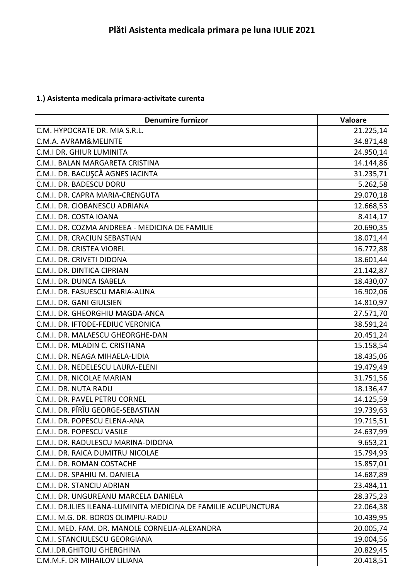## **1.) Asistenta medicala primara-activitate curenta**

| <b>Denumire furnizor</b>                                        | Valoare   |
|-----------------------------------------------------------------|-----------|
| C.M. HYPOCRATE DR. MIA S.R.L.                                   | 21.225,14 |
| C.M.A. AVRAM&MELINTE                                            | 34.871,48 |
| C.M.I DR. GHIUR LUMINITA                                        | 24.950,14 |
| C.M.I. BALAN MARGARETA CRISTINA                                 | 14.144,86 |
| C.M.I. DR. BACUŞCĂ AGNES IACINTA                                | 31.235,71 |
| C.M.I. DR. BADESCU DORU                                         | 5.262,58  |
| C.M.I. DR. CAPRA MARIA-CRENGUTA                                 | 29.070,18 |
| C.M.I. DR. CIOBANESCU ADRIANA                                   | 12.668,53 |
| C.M.I. DR. COSTA IOANA                                          | 8.414,17  |
| C.M.I. DR. COZMA ANDREEA - MEDICINA DE FAMILIE                  | 20.690,35 |
| C.M.I. DR. CRACIUN SEBASTIAN                                    | 18.071,44 |
| C.M.I. DR. CRISTEA VIOREL                                       | 16.772,88 |
| C.M.I. DR. CRIVETI DIDONA                                       | 18.601,44 |
| C.M.I. DR. DINTICA CIPRIAN                                      | 21.142,87 |
| C.M.I. DR. DUNCA ISABELA                                        | 18.430,07 |
| C.M.I. DR. FASUESCU MARIA-ALINA                                 | 16.902,06 |
| C.M.I. DR. GANI GIULSIEN                                        | 14.810,97 |
| C.M.I. DR. GHEORGHIU MAGDA-ANCA                                 | 27.571,70 |
| C.M.I. DR. IFTODE-FEDIUC VERONICA                               | 38.591,24 |
| C.M.I. DR. MALAESCU GHEORGHE-DAN                                | 20.451,24 |
| C.M.I. DR. MLADIN C. CRISTIANA                                  | 15.158,54 |
| C.M.I. DR. NEAGA MIHAELA-LIDIA                                  | 18.435,06 |
| C.M.I. DR. NEDELESCU LAURA-ELENI                                | 19.479,49 |
| C.M.I. DR. NICOLAE MARIAN                                       | 31.751,56 |
| C.M.I. DR. NUTA RADU                                            | 18.136,47 |
| C.M.I. DR. PAVEL PETRU CORNEL                                   | 14.125,59 |
| C.M.I. DR. PÎRÎU GEORGE-SEBASTIAN                               | 19.739,63 |
| C.M.I. DR. POPESCU ELENA-ANA                                    | 19.715,51 |
| C.M.I. DR. POPESCU VASILE                                       | 24.637,99 |
| C.M.I. DR. RADULESCU MARINA-DIDONA                              | 9.653,21  |
| C.M.I. DR. RAICA DUMITRU NICOLAE                                | 15.794,93 |
| C.M.I. DR. ROMAN COSTACHE                                       | 15.857,01 |
| C.M.I. DR. SPAHIU M. DANIELA                                    | 14.687,89 |
| C.M.I. DR. STANCIU ADRIAN                                       | 23.484,11 |
| C.M.I. DR. UNGUREANU MARCELA DANIELA                            | 28.375,23 |
| C.M.I. DR.ILIES ILEANA-LUMINITA MEDICINA DE FAMILIE ACUPUNCTURA | 22.064,38 |
| C.M.I. M.G. DR. BOROS OLIMPIU-RADU                              | 10.439,95 |
| C.M.I. MED. FAM. DR. MANOLE CORNELIA-ALEXANDRA                  | 20.005,74 |
| <b>C.M.I. STANCIULESCU GEORGIANA</b>                            | 19.004,56 |
| <b>C.M.I.DR.GHITOIU GHERGHINA</b>                               | 20.829,45 |
| C.M.M.F. DR MIHAILOV LILIANA                                    | 20.418,51 |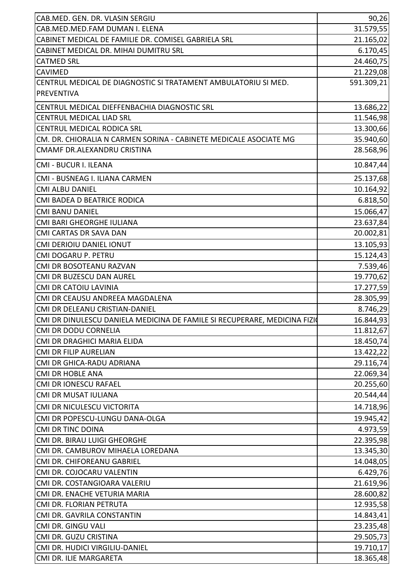| CAB.MED. GEN. DR. VLASIN SERGIU                                           | 90,26      |
|---------------------------------------------------------------------------|------------|
| CAB.MED.MED.FAM DUMAN I. ELENA                                            | 31.579,55  |
| CABINET MEDICAL DE FAMILIE DR. COMISEL GABRIELA SRL                       | 21.165,02  |
| CABINET MEDICAL DR. MIHAI DUMITRU SRL                                     | 6.170,45   |
| <b>CATMED SRL</b>                                                         | 24.460,75  |
| <b>CAVIMED</b>                                                            | 21.229,08  |
| CENTRUL MEDICAL DE DIAGNOSTIC SI TRATAMENT AMBULATORIU SI MED.            | 591.309,21 |
| <b>PREVENTIVA</b>                                                         |            |
| CENTRUL MEDICAL DIEFFENBACHIA DIAGNOSTIC SRL                              | 13.686,22  |
| <b>CENTRUL MEDICAL LIAD SRL</b>                                           | 11.546,98  |
| CENTRUL MEDICAL RODICA SRL                                                | 13.300,66  |
| CM. DR. CHIORALIA N CARMEN SORINA - CABINETE MEDICALE ASOCIATE MG         | 35.940,60  |
| CMAMF DR.ALEXANDRU CRISTINA                                               | 28.568,96  |
| CMI - BUCUR I. ILEANA                                                     | 10.847,44  |
| CMI - BUSNEAG I. ILIANA CARMEN                                            | 25.137,68  |
| <b>CMI ALBU DANIEL</b>                                                    | 10.164,92  |
| CMI BADEA D BEATRICE RODICA                                               | 6.818,50   |
| <b>CMI BANU DANIEL</b>                                                    | 15.066,47  |
| CMI BARI GHEORGHE IULIANA                                                 | 23.637,84  |
| <b>CMI CARTAS DR SAVA DAN</b>                                             | 20.002,81  |
| CMI DERIOIU DANIEL IONUT                                                  | 13.105,93  |
| CMI DOGARU P. PETRU                                                       | 15.124,43  |
| CMI DR BOSOTEANU RAZVAN                                                   | 7.539,46   |
| CMI DR BUZESCU DAN AUREL                                                  | 19.770,62  |
| <b>CMI DR CATOIU LAVINIA</b>                                              | 17.277,59  |
| CMI DR CEAUSU ANDREEA MAGDALENA                                           | 28.305,99  |
| CMI DR DELEANU CRISTIAN-DANIEL                                            | 8.746,29   |
| CMI DR DINULESCU DANIELA MEDICINA DE FAMILE SI RECUPERARE, MEDICINA FIZIO | 16.844,93  |
| <b>CMI DR DODU CORNELIA</b>                                               | 11.812,67  |
| CMI DR DRAGHICI MARIA ELIDA                                               | 18.450,74  |
| <b>CMI DR FILIP AURELIAN</b>                                              | 13.422,22  |
| CMI DR GHICA-RADU ADRIANA                                                 | 29.116,74  |
| <b>CMI DR HOBLE ANA</b>                                                   | 22.069,34  |
| <b>CMI DR IONESCU RAFAEL</b>                                              | 20.255,60  |
| CMI DR MUSAT IULIANA                                                      | 20.544,44  |
| CMI DR NICULESCU VICTORITA                                                | 14.718,96  |
| CMI DR POPESCU-LUNGU DANA-OLGA                                            | 19.945,42  |
| <b>CMI DR TINC DOINA</b>                                                  | 4.973,59   |
| CMI DR. BIRAU LUIGI GHEORGHE                                              | 22.395,98  |
| CMI DR. CAMBUROV MIHAELA LOREDANA                                         | 13.345,30  |
| CMI DR. CHIFOREANU GABRIEL                                                | 14.048,05  |
| CMI DR. COJOCARU VALENTIN                                                 | 6.429,76   |
| CMI DR. COSTANGIOARA VALERIU                                              | 21.619,96  |
| CMI DR. ENACHE VETURIA MARIA                                              | 28.600,82  |
| CMI DR. FLORIAN PETRUTA                                                   | 12.935,58  |
| CMI DR. GAVRILA CONSTANTIN                                                | 14.843,41  |
| CMI DR. GINGU VALI                                                        | 23.235,48  |
| CMI DR. GUZU CRISTINA                                                     | 29.505,73  |
| CMI DR. HUDICI VIRGILIU-DANIEL                                            | 19.710,17  |
| CMI DR. ILIE MARGARETA                                                    | 18.365,48  |
|                                                                           |            |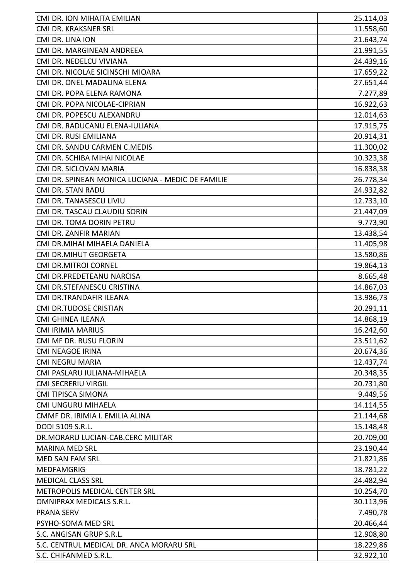| CMI DR. ION MIHAITA EMILIAN                       | 25.114,03 |
|---------------------------------------------------|-----------|
| CMI DR. KRAKSNER SRL                              | 11.558,60 |
| CMI DR. LINA ION                                  | 21.643,74 |
| CMI DR. MARGINEAN ANDREEA                         | 21.991,55 |
| CMI DR. NEDELCU VIVIANA                           | 24.439,16 |
| CMI DR. NICOLAE SICINSCHI MIOARA                  | 17.659,22 |
| CMI DR. ONEL MADALINA ELENA                       | 27.651,44 |
| CMI DR. POPA ELENA RAMONA                         | 7.277,89  |
| CMI DR. POPA NICOLAE-CIPRIAN                      | 16.922,63 |
| CMI DR. POPESCU ALEXANDRU                         | 12.014,63 |
| CMI DR. RADUCANU ELENA-IULIANA                    | 17.915,75 |
| CMI DR. RUSI EMILIANA                             | 20.914,31 |
| CMI DR. SANDU CARMEN C.MEDIS                      | 11.300,02 |
| CMI DR. SCHIBA MIHAI NICOLAE                      | 10.323,38 |
| CMI DR. SICLOVAN MARIA                            | 16.838,38 |
| CMI DR. SPINEAN MONICA LUCIANA - MEDIC DE FAMILIE | 26.778,34 |
| <b>CMI DR. STAN RADU</b>                          | 24.932,82 |
| CMI DR. TANASESCU LIVIU                           | 12.733,10 |
| CMI DR. TASCAU CLAUDIU SORIN                      | 21.447,09 |
| CMI DR. TOMA DORIN PETRU                          | 9.773,90  |
| CMI DR. ZANFIR MARIAN                             | 13.438,54 |
| CMI DR.MIHAI MIHAELA DANIELA                      | 11.405,98 |
| CMI DR.MIHUT GEORGETA                             | 13.580,86 |
| <b>CMI DR.MITROI CORNEL</b>                       | 19.864,13 |
| CMI DR.PREDETEANU NARCISA                         | 8.665,48  |
| CMI DR.STEFANESCU CRISTINA                        | 14.867,03 |
| CMI DR.TRANDAFIR ILEANA                           | 13.986,73 |
| <b>CMI DR.TUDOSE CRISTIAN</b>                     | 20.291,11 |
| CMI GHINEA ILEANA                                 | 14.868,19 |
| <b>CMI IRIMIA MARIUS</b>                          | 16.242,60 |
| CMI MF DR. RUSU FLORIN                            | 23.511,62 |
| <b>CMI NEAGOE IRINA</b>                           | 20.674,36 |
| <b>CMI NEGRU MARIA</b>                            | 12.437,74 |
| CMI PASLARU IULIANA-MIHAELA                       | 20.348,35 |
| <b>CMI SECRERIU VIRGIL</b>                        | 20.731,80 |
| <b>CMI TIPISCA SIMONA</b>                         | 9.449,56  |
| <b>CMI UNGURU MIHAELA</b>                         | 14.114,55 |
| CMMF DR. IRIMIA I. EMILIA ALINA                   | 21.144,68 |
| DODI 5109 S.R.L.                                  | 15.148,48 |
| DR.MORARU LUCIAN-CAB.CERC MILITAR                 | 20.709,00 |
| <b>MARINA MED SRL</b>                             | 23.190,44 |
| <b>MED SAN FAM SRL</b>                            | 21.821,86 |
| <b>MEDFAMGRIG</b>                                 | 18.781,22 |
| <b>MEDICAL CLASS SRL</b>                          | 24.482,94 |
| METROPOLIS MEDICAL CENTER SRL                     | 10.254,70 |
| <b>OMNIPRAX MEDICALS S.R.L.</b>                   | 30.113,96 |
| <b>PRANA SERV</b>                                 | 7.490,78  |
| PSYHO-SOMA MED SRL                                | 20.466,44 |
| S.C. ANGISAN GRUP S.R.L.                          | 12.908,80 |
| S.C. CENTRUL MEDICAL DR. ANCA MORARU SRL          | 18.229,86 |
| S.C. CHIFANMED S.R.L.                             | 32.922,10 |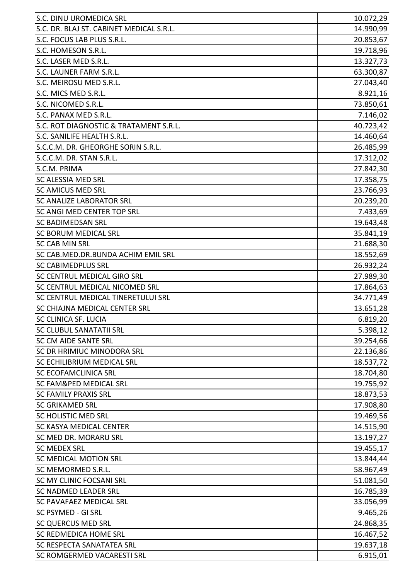| S.C. DINU UROMEDICA SRL                  | 10.072,29 |
|------------------------------------------|-----------|
| S.C. DR. BLAJ ST. CABINET MEDICAL S.R.L. | 14.990,99 |
| S.C. FOCUS LAB PLUS S.R.L.               | 20.853,67 |
| S.C. HOMESON S.R.L.                      | 19.718,96 |
| S.C. LASER MED S.R.L.                    | 13.327,73 |
| S.C. LAUNER FARM S.R.L.                  | 63.300,87 |
| S.C. MEIROSU MED S.R.L.                  | 27.043,40 |
| S.C. MICS MED S.R.L.                     | 8.921,16  |
| S.C. NICOMED S.R.L.                      | 73.850,61 |
| S.C. PANAX MED S.R.L.                    | 7.146,02  |
| S.C. ROT DIAGNOSTIC & TRATAMENT S.R.L.   | 40.723,42 |
| S.C. SANILIFE HEALTH S.R.L.              | 14.460,64 |
| S.C.C.M. DR. GHEORGHE SORIN S.R.L.       | 26.485,99 |
| S.C.C.M. DR. STAN S.R.L.                 | 17.312,02 |
| S.C.M. PRIMA                             | 27.842,30 |
| <b>SC ALESSIA MED SRL</b>                | 17.358,75 |
| <b>SC AMICUS MED SRL</b>                 | 23.766,93 |
| <b>SC ANALIZE LABORATOR SRL</b>          | 20.239,20 |
| <b>SC ANGI MED CENTER TOP SRL</b>        | 7.433,69  |
| <b>SC BADIMEDSAN SRL</b>                 | 19.643,48 |
| <b>SC BORUM MEDICAL SRL</b>              | 35.841,19 |
| <b>SC CAB MIN SRL</b>                    | 21.688,30 |
| SC CAB.MED.DR.BUNDA ACHIM EMIL SRL       | 18.552,69 |
| <b>SC CABIMEDPLUS SRL</b>                | 26.932,24 |
| <b>SC CENTRUL MEDICAL GIRO SRL</b>       | 27.989,30 |
| SC CENTRUL MEDICAL NICOMED SRL           | 17.864,63 |
| SC CENTRUL MEDICAL TINERETULUI SRL       | 34.771,49 |
| <b>SC CHIAJNA MEDICAL CENTER SRL</b>     | 13.651,28 |
| <b>SC CLINICA SF. LUCIA</b>              | 6.819,20  |
| <b>SC CLUBUL SANATATII SRL</b>           | 5.398,12  |
| <b>SC CM AIDE SANTE SRL</b>              | 39.254,66 |
| <b>SC DR HRIMIUC MINODORA SRL</b>        | 22.136,86 |
| <b>SC ECHILIBRIUM MEDICAL SRL</b>        | 18.537,72 |
| <b>SC ECOFAMCLINICA SRL</b>              | 18.704,80 |
| <b>SC FAM&amp;PED MEDICAL SRL</b>        | 19.755,92 |
| <b>SC FAMILY PRAXIS SRL</b>              | 18.873,53 |
| <b>SC GRIKAMED SRL</b>                   | 17.908,80 |
| <b>SC HOLISTIC MED SRL</b>               | 19.469,56 |
| <b>SC KASYA MEDICAL CENTER</b>           | 14.515,90 |
| <b>SC MED DR. MORARU SRL</b>             | 13.197,27 |
| <b>SC MEDEX SRL</b>                      | 19.455,17 |
| <b>SC MEDICAL MOTION SRL</b>             | 13.844,44 |
| <b>SC MEMORMED S.R.L.</b>                | 58.967,49 |
| <b>SC MY CLINIC FOCSANI SRL</b>          | 51.081,50 |
| <b>SC NADMED LEADER SRL</b>              | 16.785,39 |
| <b>SC PAVAFAEZ MEDICAL SRL</b>           | 33.056,99 |
| SC PSYMED - GI SRL                       | 9.465,26  |
| <b>SC QUERCUS MED SRL</b>                | 24.868,35 |
| <b>SC REDMEDICA HOME SRL</b>             | 16.467,52 |
| <b>SC RESPECTA SANATATEA SRL</b>         | 19.637,18 |
| <b>SC ROMGERMED VACARESTI SRL</b>        | 6.915,01  |